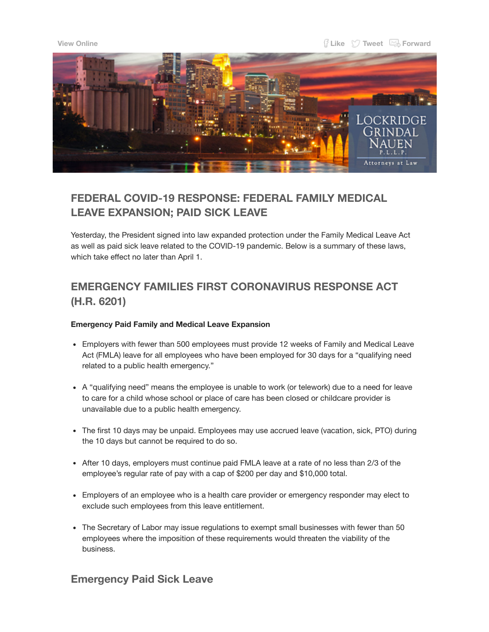

## **FEDERAL COVID-19 RESPONSE: FEDERAL FAMILY MEDICAL LEAVE EXPANSION; PAID SICK LEAVE**

Yesterday, the President signed into law expanded protection under the Family Medical Leave Act as well as paid sick leave related to the COVID-19 pandemic. Below is a summary of these laws, which take effect no later than April 1.

# **EMERGENCY FAMILIES FIRST CORONAVIRUS RESPONSE ACT (H.R. 6201)**

### **Emergency Paid Family and Medical Leave Expansion**

- Employers with fewer than 500 employees must provide 12 weeks of Family and Medical Leave Act (FMLA) leave for all employees who have been employed for 30 days for a "qualifying need related to a public health emergency."
- A "qualifying need" means the employee is unable to work (or telework) due to a need for leave to care for a child whose school or place of care has been closed or childcare provider is unavailable due to a public health emergency.
- The first 10 days may be unpaid. Employees may use accrued leave (vacation, sick, PTO) during the 10 days but cannot be required to do so.
- After 10 days, employers must continue paid FMLA leave at a rate of no less than 2/3 of the employee's regular rate of pay with a cap of \$200 per day and \$10,000 total.
- Employers of an employee who is a health care provider or emergency responder may elect to exclude such employees from this leave entitlement.
- The Secretary of Labor may issue regulations to exempt small businesses with fewer than 50 employees where the imposition of these requirements would threaten the viability of the business.

### **Emergency Paid Sick Leave**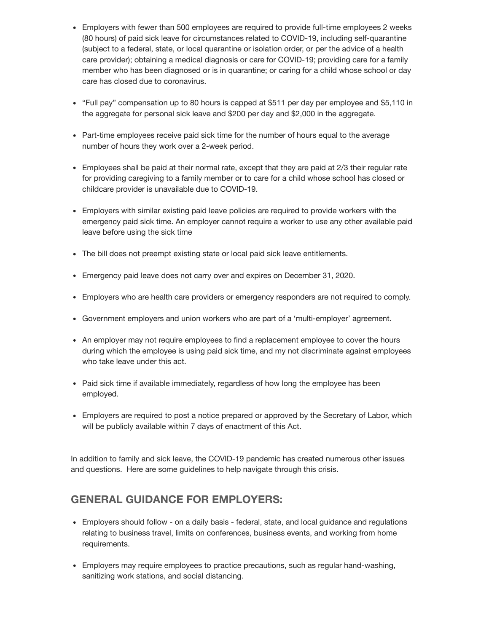- Employers with fewer than 500 employees are required to provide full-time employees 2 weeks (80 hours) of paid sick leave for circumstances related to COVID-19, including self-quarantine (subject to a federal, state, or local quarantine or isolation order, or per the advice of a health care provider); obtaining a medical diagnosis or care for COVID-19; providing care for a family member who has been diagnosed or is in quarantine; or caring for a child whose school or day care has closed due to coronavirus.
- "Full pay" compensation up to 80 hours is capped at \$511 per day per employee and \$5,110 in the aggregate for personal sick leave and \$200 per day and \$2,000 in the aggregate.
- Part-time employees receive paid sick time for the number of hours equal to the average number of hours they work over a 2-week period.
- Employees shall be paid at their normal rate, except that they are paid at 2/3 their regular rate for providing caregiving to a family member or to care for a child whose school has closed or childcare provider is unavailable due to COVID-19.
- Employers with similar existing paid leave policies are required to provide workers with the emergency paid sick time. An employer cannot require a worker to use any other available paid leave before using the sick time
- The bill does not preempt existing state or local paid sick leave entitlements.
- Emergency paid leave does not carry over and expires on December 31, 2020.
- Employers who are health care providers or emergency responders are not required to comply.
- Government employers and union workers who are part of a 'multi-employer' agreement.
- An employer may not require employees to find a replacement employee to cover the hours during which the employee is using paid sick time, and my not discriminate against employees who take leave under this act.
- Paid sick time if available immediately, regardless of how long the employee has been employed.
- Employers are required to post a notice prepared or approved by the Secretary of Labor, which will be publicly available within 7 days of enactment of this Act.

In addition to family and sick leave, the COVID-19 pandemic has created numerous other issues and questions. Here are some guidelines to help navigate through this crisis.

## **GENERAL GUIDANCE FOR EMPLOYERS:**

- Employers should follow on a daily basis federal, state, and local guidance and regulations relating to business travel, limits on conferences, business events, and working from home requirements.
- Employers may require employees to practice precautions, such as regular hand-washing, sanitizing work stations, and social distancing.